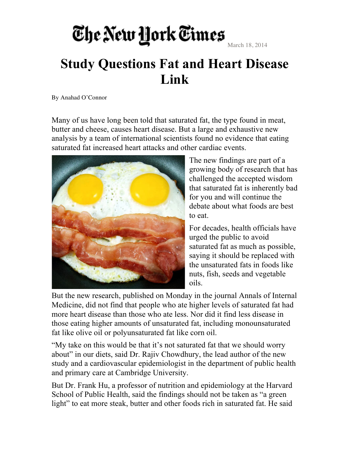### The New York Times

March 18, 2014

#### **Study Questions Fat and Heart Disease Link**

By Anahad O'Connor

Many of us have long been told that saturated fat, the type found in meat, butter and cheese, causes heart disease. But a large and exhaustive new analysis by a team of international scientists found no evidence that eating saturated fat increased heart attacks and other cardiac events.



The new findings are part of a growing body of research that has challenged the accepted wisdom that saturated fat is inherently bad for you and will continue the debate about what foods are best to eat.

For decades, health officials have urged the public to avoid saturated fat as much as possible, saying it should be replaced with the unsaturated fats in foods like nuts, fish, seeds and vegetable oils.

But the new research, published on Monday in the journal Annals of Internal Medicine, did not find that people who ate higher levels of saturated fat had more heart disease than those who ate less. Nor did it find less disease in those eating higher amounts of unsaturated fat, including monounsaturated fat like olive oil or polyunsaturated fat like corn oil.

"My take on this would be that it's not saturated fat that we should worry about" in our diets, said Dr. Rajiv Chowdhury, the lead author of the new study and a cardiovascular epidemiologist in the department of public health and primary care at Cambridge University.

But Dr. Frank Hu, a professor of nutrition and epidemiology at the Harvard School of Public Health, said the findings should not be taken as "a green light" to eat more steak, butter and other foods rich in saturated fat. He said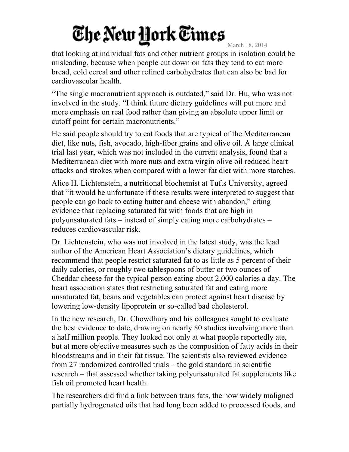# The New York Times

March 18, 2014

that looking at individual fats and other nutrient groups in isolation could be misleading, because when people cut down on fats they tend to eat more bread, cold cereal and other refined carbohydrates that can also be bad for cardiovascular health.

"The single macronutrient approach is outdated," said Dr. Hu, who was not involved in the study. "I think future dietary guidelines will put more and more emphasis on real food rather than giving an absolute upper limit or cutoff point for certain macronutrients."

He said people should try to eat foods that are typical of the Mediterranean diet, like nuts, fish, avocado, high-fiber grains and olive oil. A large clinical trial last year, which was not included in the current analysis, found that a Mediterranean diet with more nuts and extra virgin olive oil reduced heart attacks and strokes when compared with a lower fat diet with more starches.

Alice H. Lichtenstein, a nutritional biochemist at Tufts University, agreed that "it would be unfortunate if these results were interpreted to suggest that people can go back to eating butter and cheese with abandon," citing evidence that replacing saturated fat with foods that are high in polyunsaturated fats – instead of simply eating more carbohydrates – reduces cardiovascular risk.

Dr. Lichtenstein, who was not involved in the latest study, was the lead author of the American Heart Association's dietary guidelines, which recommend that people restrict saturated fat to as little as 5 percent of their daily calories, or roughly two tablespoons of butter or two ounces of Cheddar cheese for the typical person eating about 2,000 calories a day. The heart association states that restricting saturated fat and eating more unsaturated fat, beans and vegetables can protect against heart disease by lowering low-density lipoprotein or so-called bad cholesterol.

In the new research, Dr. Chowdhury and his colleagues sought to evaluate the best evidence to date, drawing on nearly 80 studies involving more than a half million people. They looked not only at what people reportedly ate, but at more objective measures such as the composition of fatty acids in their bloodstreams and in their fat tissue. The scientists also reviewed evidence from 27 randomized controlled trials – the gold standard in scientific research – that assessed whether taking polyunsaturated fat supplements like fish oil promoted heart health.

The researchers did find a link between trans fats, the now widely maligned partially hydrogenated oils that had long been added to processed foods, and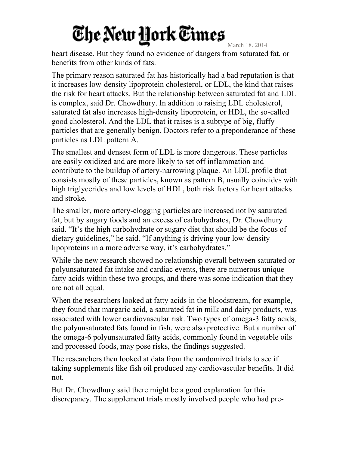## The New Hork Times

March 18, 2014

heart disease. But they found no evidence of dangers from saturated fat, or benefits from other kinds of fats.

The primary reason saturated fat has historically had a bad reputation is that it increases low-density lipoprotein cholesterol, or LDL, the kind that raises the risk for heart attacks. But the relationship between saturated fat and LDL is complex, said Dr. Chowdhury. In addition to raising LDL cholesterol, saturated fat also increases high-density lipoprotein, or HDL, the so-called good cholesterol. And the LDL that it raises is a subtype of big, fluffy particles that are generally benign. Doctors refer to a preponderance of these particles as LDL pattern A.

The smallest and densest form of LDL is more dangerous. These particles are easily oxidized and are more likely to set off inflammation and contribute to the buildup of artery-narrowing plaque. An LDL profile that consists mostly of these particles, known as pattern B, usually coincides with high triglycerides and low levels of HDL, both risk factors for heart attacks and stroke.

The smaller, more artery-clogging particles are increased not by saturated fat, but by sugary foods and an excess of carbohydrates, Dr. Chowdhury said. "It's the high carbohydrate or sugary diet that should be the focus of dietary guidelines," he said. "If anything is driving your low-density lipoproteins in a more adverse way, it's carbohydrates."

While the new research showed no relationship overall between saturated or polyunsaturated fat intake and cardiac events, there are numerous unique fatty acids within these two groups, and there was some indication that they are not all equal.

When the researchers looked at fatty acids in the bloodstream, for example, they found that margaric acid, a saturated fat in milk and dairy products, was associated with lower cardiovascular risk. Two types of omega-3 fatty acids, the polyunsaturated fats found in fish, were also protective. But a number of the omega-6 polyunsaturated fatty acids, commonly found in vegetable oils and processed foods, may pose risks, the findings suggested.

The researchers then looked at data from the randomized trials to see if taking supplements like fish oil produced any cardiovascular benefits. It did not.

But Dr. Chowdhury said there might be a good explanation for this discrepancy. The supplement trials mostly involved people who had pre-